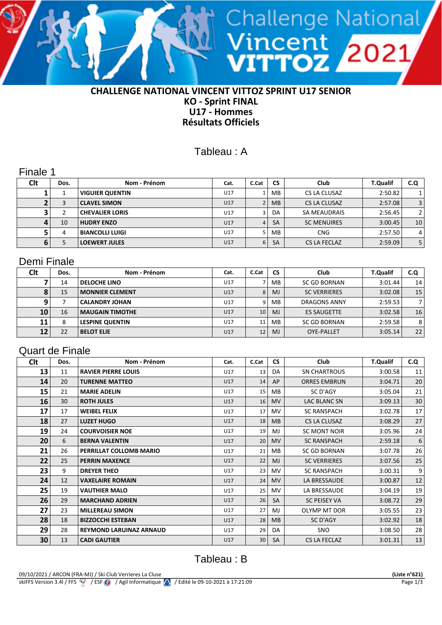

### **CHALLENGE NATIONAL VINCENT VITTOZ SPRINT U17 SENIOR KO - Sprint FINAL U17 - Hommes Résultats Officiels**

## Tableau : A

Finale 1

| <b>Clt</b> | Dos. | Nom - Prénom           | Cat. | C.Cat | <b>CS</b> | Club               | <b>T.Qualif</b> | C.Q            |
|------------|------|------------------------|------|-------|-----------|--------------------|-----------------|----------------|
|            |      | <b>VIGUIER QUENTIN</b> | U17  |       | МB        | CS LA CLUSAZ       | 2:50.82         |                |
|            |      | CLAVEL SIMON           | U17  |       | <b>MB</b> | CS LA CLUSAZ       | 2:57.08         | 3              |
|            |      | <b>CHEVALIER LORIS</b> | U17  |       | DA        | SA MEAUDRAIS       | 2:56.45         | $\overline{2}$ |
| 4          | 10   | <b>HUDRY ENZO</b>      | U17  | 4     | <b>SA</b> | <b>SC MENUIRES</b> | 3:00.45         | 10             |
|            | 4    | BIANCOLLI LUIGI        | U17  |       | МB        | <b>CNG</b>         | 2:57.50         | 4              |
| 6          |      | <b>LOEWERT JULES</b>   | U17  | 6     | <b>SA</b> | CS LA FECLAZ       | 2:59.09         | 5              |

### Demi Finale

| <b>Clt</b> | Dos. | Nom - Prénom           | Cat. | C.Cat | <b>CS</b>      | Club                | <b>T.Qualif</b> | C.Q             |
|------------|------|------------------------|------|-------|----------------|---------------------|-----------------|-----------------|
|            | 14   | <b>DELOCHE LINO</b>    | U17  |       | MB.            | <b>SC GD BORNAN</b> | 3:01.44         | 14              |
|            | 15   | <b>MONNIER CLEMENT</b> | U17  | 8     | MJ             | <b>SC VERRIERES</b> | 3:02.08         | 15              |
|            |      | <b>CALANDRY JOHAN</b>  | U17  | 9     | MB.            | <b>DRAGONS ANNY</b> | 2:59.53         |                 |
| 10         | 16   | <b>MAUGAIN TIMOTHE</b> | U17  | 10    | M <sub>J</sub> | <b>ES SAUGETTE</b>  | 3:02.58         | 16 <sub>1</sub> |
| 11         | 8    | <b>LESPINE QUENTIN</b> | U17  | 11    | MВ             | <b>SC GD BORNAN</b> | 2:59.58         | 8 <sup>1</sup>  |
| 12         | 22   | <b>BELOT ELIE</b>      | U17  | 12    | MJ             | <b>OYE-PALLET</b>   | 3:05.14         | 22 <sub>1</sub> |

## Quart de Finale

| Clt | Dos. | Nom - Prénom                   | Cat. | C.Cat | <b>CS</b>      | <b>Club</b>         | <b>T.Qualif</b> | C.Q |
|-----|------|--------------------------------|------|-------|----------------|---------------------|-----------------|-----|
| 13  | 11   | <b>RAVIER PIERRE LOUIS</b>     | U17  | 13    | DA             | <b>SN CHARTROUS</b> | 3:00.58         | 11  |
| 14  | 20   | <b>TURENNE MATTEO</b>          | U17  | 14    | AP             | <b>ORRES EMBRUN</b> | 3:04.71         | 20  |
| 15  | 21   | <b>MARIE ADELIN</b>            | U17  | 15    | MB             | SC D'AGY            | 3:05.04         | 21  |
| 16  | 30   | <b>ROTH JULES</b>              | U17  | 16    | <b>MV</b>      | LAC BLANC SN        | 3:09.13         | 30  |
| 17  | 17   | <b>WEIBEL FELIX</b>            | U17  | 17    | MV.            | <b>SC RANSPACH</b>  | 3:02.78         | 17  |
| 18  | 27   | <b>LUZET HUGO</b>              | U17  | 18    | M <sub>B</sub> | CS LA CLUSAZ        | 3:08.29         | 27  |
| 19  | 24   | <b>COURVOISIER NOE</b>         | U17  | 19    | MJ             | <b>SC MONT NOIR</b> | 3:05.96         | 24  |
| 20  | 6    | <b>BERNA VALENTIN</b>          | U17  | 20    | <b>MV</b>      | <b>SC RANSPACH</b>  | 2:59.18         | 6   |
| 21  | 26   | PERRILLAT COLLOMB MARIO        | U17  | 21    | MB             | SC GD BORNAN        | 3:07.78         | 26  |
| 22  | 25   | <b>PERRIN MAXENCE</b>          | U17  | 22    | <b>MJ</b>      | <b>SC VERRIERES</b> | 3:07.56         | 25  |
| 23  | 9    | <b>DREYER THEO</b>             | U17  | 23    | <b>MV</b>      | <b>SC RANSPACH</b>  | 3:00.31         | 9   |
| 24  | 12   | <b>VAXELAIRE ROMAIN</b>        | U17  | 24    | <b>MV</b>      | LA BRESSAUDE        | 3:00.87         | 12  |
| 25  | 19   | <b>VAUTHIER MALO</b>           | U17  | 25    | MV.            | LA BRESSAUDE        | 3:04.19         | 19  |
| 26  | 29   | <b>MARCHAND ADRIEN</b>         | U17  | 26    | <b>SA</b>      | <b>SC PEISEY VA</b> | 3:08.72         | 29  |
| 27  | 23   | <b>MILLEREAU SIMON</b>         | U17  | 27    | MJ             | OLYMP MT DOR        | 3:05.55         | 23  |
| 28  | 18   | <b>BIZZOCCHI ESTEBAN</b>       | U17  | 28    | <b>MB</b>      | SC D'AGY            | 3:02.92         | 18  |
| 29  | 28   | <b>REYMOND LARUINAZ ARNAUD</b> | U17  | 29    | DA             | <b>SNO</b>          | 3:08.50         | 28  |
| 30  | 13   | <b>CADI GAUTIER</b>            | U17  | 30    | <b>SA</b>      | CS LA FECLAZ        | 3:01.31         | 13  |

# Tableau : B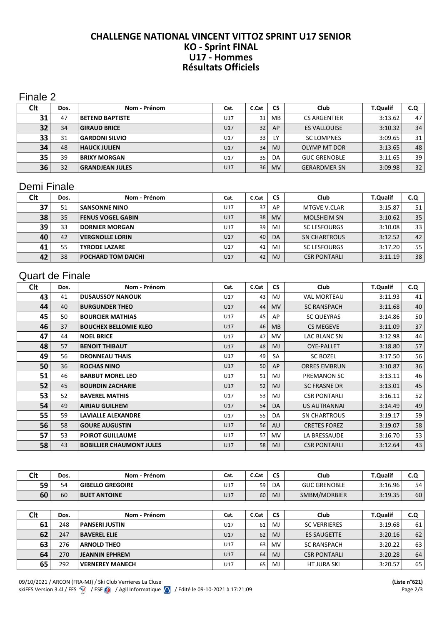#### **CHALLENGE NATIONAL VINCENT VITTOZ SPRINT U17 SENIOR KO - Sprint FINAL U17 - Hommes Résultats Officiels**

### Finale 2

| Clt | Dos. | Nom - Prénom           | Cat. | C.Cat           | <b>CS</b>      | Club                | <b>T.Qualif</b> | C.Q |
|-----|------|------------------------|------|-----------------|----------------|---------------------|-----------------|-----|
| 31  | 47   | <b>BETEND BAPTISTE</b> | U17  | 31              | MB.            | <b>CS ARGENTIER</b> | 3:13.62         | 47  |
| 32  | 34   | <b>GIRAUD BRICE</b>    | U17  | 32 <sup>2</sup> | AP             | <b>ES VALLOUISE</b> | 3:10.32         | 34  |
| 33  | 31   | <b>GARDONI SILVIO</b>  | U17  | 33              | LY             | <b>SC LOMPNES</b>   | 3:09.65         | 31  |
| 34  | 48   | <b>HAUCK JULIEN</b>    | U17  | 34              | M <sub>J</sub> | OLYMP MT DOR        | 3:13.65         | 48  |
| 35  | 39   | <b>BRIXY MORGAN</b>    | U17  | 35              | DA             | <b>GUC GRENOBLE</b> | 3:11.65         | 39  |
| 36  | 32   | <b>GRANDJEAN JULES</b> | U17  | 36 <sup>1</sup> | <b>MV</b>      | <b>GERARDMER SN</b> | 3:09.98         | 32  |

## Demi Finale

| Clt | Dos. | Nom - Prénom              | Cat. | C.Cat | <b>CS</b>      | Club                | <b>T.Qualif</b> | C.Q             |
|-----|------|---------------------------|------|-------|----------------|---------------------|-----------------|-----------------|
| 37  | 51   | <b>SANSONNE NINO</b>      | U17  | 37    | AP             | MTGVE V.CLAR        | 3:15.87         | 51              |
| 38  | 35   | <b>FENUS VOGEL GABIN</b>  | U17  | 38    | <b>MV</b>      | <b>MOLSHEIM SN</b>  | 3:10.62         | 35 <sub>1</sub> |
| 39  | 33   | <b>DORNIER MORGAN</b>     | U17  | 39    | M <sub>J</sub> | <b>SC LESFOURGS</b> | 3:10.08         | 331             |
| 40  | 42   | <b>VERGNOLLE LORIN</b>    | U17  | 40    | DA             | <b>SN CHARTROUS</b> | 3:12.52         | 42              |
| 41  | 55   | <b>TYRODE LAZARE</b>      | U17  | 41    | M <sub>J</sub> | <b>SC LESFOURGS</b> | 3:17.20         | 55              |
| 42  | 38   | <b>POCHARD TOM DAICHI</b> | U17  | 42    | MJ             | <b>CSR PONTARLI</b> | 3:11.19         | 38              |

# Quart de Finale

| Clt | Dos. | Nom - Prénom                    | Cat. | C.Cat | <b>CS</b> | Club                | <b>T.Qualif</b> | C.Q |
|-----|------|---------------------------------|------|-------|-----------|---------------------|-----------------|-----|
| 43  | 41   | <b>DUSAUSSOY NANOUK</b>         | U17  | 43    | MJ        | <b>VAL MORTEAU</b>  | 3:11.93         | 41  |
| 44  | 40   | <b>BURGUNDER THEO</b>           | U17  | 44    | <b>MV</b> | <b>SC RANSPACH</b>  | 3:11.68         | 40  |
| 45  | 50   | <b>BOURCIER MATHIAS</b>         | U17  | 45    | AP        | <b>SC QUEYRAS</b>   | 3:14.86         | 50  |
| 46  | 37   | <b>BOUCHEX BELLOMIE KLEO</b>    | U17  | 46    | <b>MB</b> | <b>CS MEGEVE</b>    | 3:11.09         | 37  |
| 47  | 44   | <b>NOEL BRICE</b>               | U17  | 47    | MV.       | LAC BLANC SN        | 3:12.98         | 44  |
| 48  | 57   | <b>BENOIT THIBAUT</b>           | U17  | 48    | <b>MJ</b> | <b>OYE-PALLET</b>   | 3:18.80         | 57  |
| 49  | 56   | <b>DRONNEAU THAIS</b>           | U17  | 49    | <b>SA</b> | <b>SC BOZEL</b>     | 3:17.50         | 56  |
| 50  | 36   | <b>ROCHAS NINO</b>              | U17  | 50    | AP        | <b>ORRES EMBRUN</b> | 3:10.87         | 36  |
| 51  | 46   | <b>BARBUT MOREL LEO</b>         | U17  | 51    | MJ        | PREMANON SC         | 3:13.11         | 46  |
| 52  | 45   | <b>BOURDIN ZACHARIE</b>         | U17  | 52    | <b>MJ</b> | <b>SC FRASNE DR</b> | 3:13.01         | 45  |
| 53  | 52   | <b>BAVEREL MATHIS</b>           | U17  | 53    | MJ        | <b>CSR PONTARLI</b> | 3:16.11         | 52  |
| 54  | 49   | <b>AIRIAU GUILHEM</b>           | U17  | 54    | DA        | <b>US AUTRANNAI</b> | 3:14.49         | 49  |
| 55  | 59   | <b>LAVIALLE ALEXANDRE</b>       | U17  | 55    | DA        | <b>SN CHARTROUS</b> | 3:19.17         | 59  |
| 56  | 58   | <b>GOURE AUGUSTIN</b>           | U17  | 56    | AU        | <b>CRETES FOREZ</b> | 3:19.07         | 58  |
| 57  | 53   | <b>POIROT GUILLAUME</b>         | U17  | 57    | MV.       | LA BRESSAUDE        | 3:16.70         | 53  |
| 58  | 43   | <b>BOBILLIER CHAUMONT JULES</b> | U17  | 58    | <b>MJ</b> | <b>CSR PONTARLI</b> | 3:12.64         | 43  |

| <b>Clt</b> | Dos. | Nom - Prénom            | Cat. | C.Cat | <b>CS</b>      | Club                | <b>T.Qualif</b> | C.Q |
|------------|------|-------------------------|------|-------|----------------|---------------------|-----------------|-----|
| 59         | 54   | <b>GIBELLO GREGOIRE</b> | U17  | 59    | DA             | <b>GUC GRENOBLE</b> | 3:16.96         | 54  |
| 60         | 60   | <b>BUET ANTOINE</b>     | U17  | 60    | MJ             | SMBM/MORBIER        | 3:19.35         | 60  |
|            |      |                         |      |       |                |                     |                 |     |
| Clt        | Dos. | Nom - Prénom            | Cat. | C.Cat | <b>CS</b>      | Club                | <b>T.Qualif</b> | C.Q |
| 61         | 248  | <b>PANSERI JUSTIN</b>   | U17  | 61    | MJ             | <b>SC VERRIERES</b> | 3:19.68         | 61  |
| 62         | 247  | <b>BAVEREL ELIE</b>     | U17  | 62    | M <sub>J</sub> | <b>ES SAUGETTE</b>  | 3:20.16         | 62  |
| 63         | 276  | <b>ARNOLD THEO</b>      | U17  | 63    | <b>MV</b>      | <b>SC RANSPACH</b>  | 3:20.22         | 63  |
| 64         | 270  | <b>JEANNIN EPHREM</b>   | U17  | 64    | MJ             | <b>CSR PONTARLI</b> | 3:20.28         | 64  |

292 **VERNEREY MANECH 117** U17 65 MJ HT JURA SKI 3:20.57 65

09/10/2021 / ARCON (FRA-MJ) / Ski Club Verrieres La Cluse **(Liste n°621)**